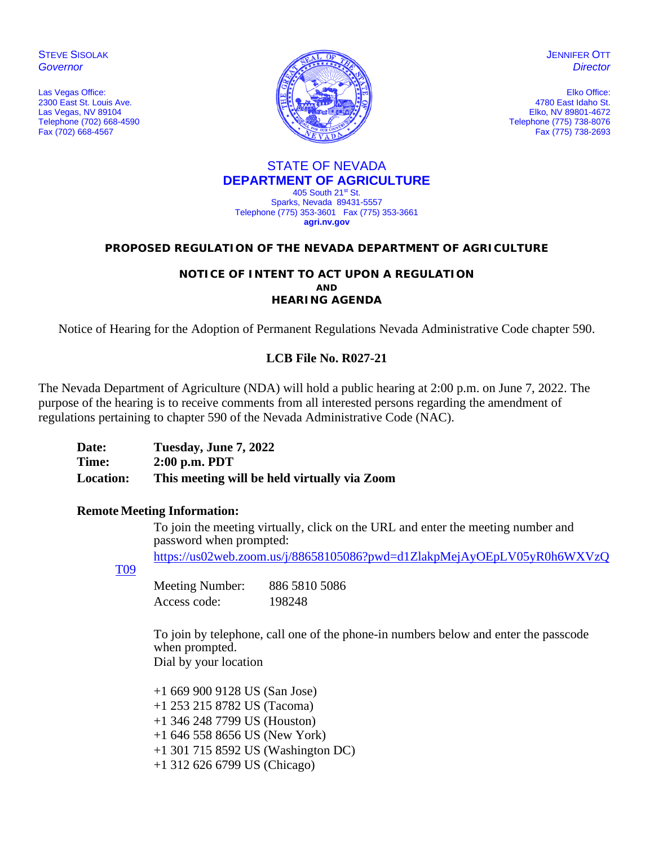**STEVE SISOLAK** *Governor*

Las Vegas Office: 2300 East St. Louis Ave. Las Vegas, NV 89104 Telephone (702) 668-4590 Fax (702) 668-4567



JENNIFER OTT *Director*

Elko Office: 4780 East Idaho St. Elko, NV 89801-4672 Telephone (775) 738-8076 Fax (775) 738-2693

#### STATE OF NEVADA **DEPARTMENT OF AGRICULTURE** 405 South 21st St.

Sparks, Nevada 89431-5557 Telephone (775) 353-3601 Fax (775) 353-3661 **agri.nv.gov**

#### **PROPOSED REGULATION OF THE NEVADA DEPARTMENT OF AGRICULTURE**

#### **NOTICE OF INTENT TO ACT UPON A REGULATION AND HEARING AGENDA**

Notice of Hearing for the Adoption of Permanent Regulations Nevada Administrative Code chapter 590.

## **LCB File No. R027-21**

The Nevada Department of Agriculture (NDA) will hold a public hearing at 2:00 p.m. on June 7, 2022. The purpose of the hearing is to receive comments from all interested persons regarding the amendment of regulations pertaining to chapter 590 of the Nevada Administrative Code (NAC).

| Date:            | Tuesday, June 7, 2022                        |
|------------------|----------------------------------------------|
| Time:            | $2:00$ p.m. PDT                              |
| <b>Location:</b> | This meeting will be held virtually via Zoom |

## **Remote Meeting Information:**

To join the meeting virtually, click on the URL and enter the meeting number and password when prompted:

[https://us02web.zoom.us/j/88658105086?pwd=d1ZlakpMejAyOEpLV05yR0h6WXVzQ](https://us02web.zoom.us/j/88658105086?pwd=d1ZlakpMejAyOEpLV05yR0h6WXVzQT09)

[T09](https://us02web.zoom.us/j/88658105086?pwd=d1ZlakpMejAyOEpLV05yR0h6WXVzQT09)

Meeting Number: 886 5810 5086 Access code: 198248

To join by telephone, call one of the phone-in numbers below and enter the passcode when prompted. Dial by your location

+1 669 900 9128 US (San Jose) +1 253 215 8782 US (Tacoma) +1 346 248 7799 US (Houston) +1 646 558 8656 US (New York) +1 301 715 8592 US (Washington DC) +1 312 626 6799 US (Chicago)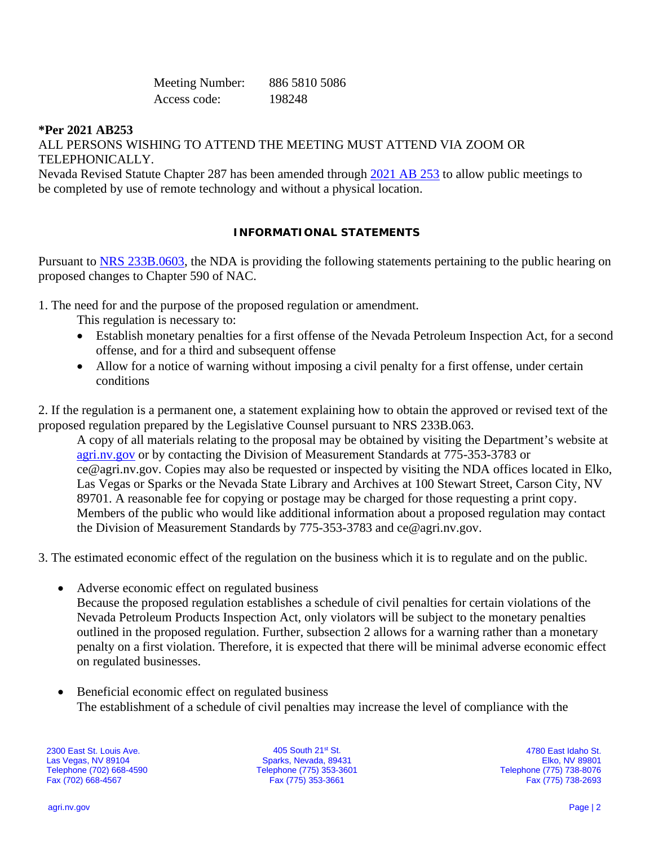Meeting Number: 886 5810 5086 Access code: 198248

### **\*Per 2021 AB253**

ALL PERSONS WISHING TO ATTEND THE MEETING MUST ATTEND VIA ZOOM OR TELEPHONICALLY.

Nevada Revised Statute Chapter 287 has been amended through [2021 AB 253](https://www.leg.state.nv.us/App/NELIS/REL/81st2021/Bill/7713/Text) to allow public meetings to be completed by use of remote technology and without a physical location.

#### **INFORMATIONAL STATEMENTS**

Pursuant to [NRS 233B.0603,](https://www.leg.state.nv.us/NRS/NRS-233B.html#NRS233BSec0603) the NDA is providing the following statements pertaining to the public hearing on proposed changes to Chapter 590 of NAC.

- 1. The need for and the purpose of the proposed regulation or amendment.
	- This regulation is necessary to:
	- Establish monetary penalties for a first offense of the Nevada Petroleum Inspection Act, for a second offense, and for a third and subsequent offense
	- Allow for a notice of warning without imposing a civil penalty for a first offense, under certain conditions

2. If the regulation is a permanent one, a statement explaining how to obtain the approved or revised text of the proposed regulation prepared by the Legislative Counsel pursuant to NRS 233B.063.

A copy of all materials relating to the proposal may be obtained by visiting the Department's website at [agri.nv.gov](http://agri.nv.gov/Animals/Animal_Industries_Hearings,_Workshops,_Meetings/) or by contacting the Division of Measurement Standards at 775-353-3783 or ce@agri.nv.gov. Copies may also be requested or inspected by visiting the NDA offices located in Elko, Las Vegas or Sparks or the Nevada State Library and Archives at 100 Stewart Street, Carson City, NV 89701. A reasonable fee for copying or postage may be charged for those requesting a print copy. Members of the public who would like additional information about a proposed regulation may contact the Division of Measurement Standards by 775-353-3783 and ce@agri.nv.gov.

3. The estimated economic effect of the regulation on the business which it is to regulate and on the public.

- Adverse economic effect on regulated business Because the proposed regulation establishes a schedule of civil penalties for certain violations of the Nevada Petroleum Products Inspection Act, only violators will be subject to the monetary penalties outlined in the proposed regulation. Further, subsection 2 allows for a warning rather than a monetary penalty on a first violation. Therefore, it is expected that there will be minimal adverse economic effect on regulated businesses.
- Beneficial economic effect on regulated business The establishment of a schedule of civil penalties may increase the level of compliance with the

2300 East St. Louis Ave. Las Vegas, NV 89104 Telephone (702) 668-4590 Fax (702) 668-4567

405 South 21st St. Sparks, Nevada, 89431 Telephone (775) 353-3601 Fax (775) 353-3661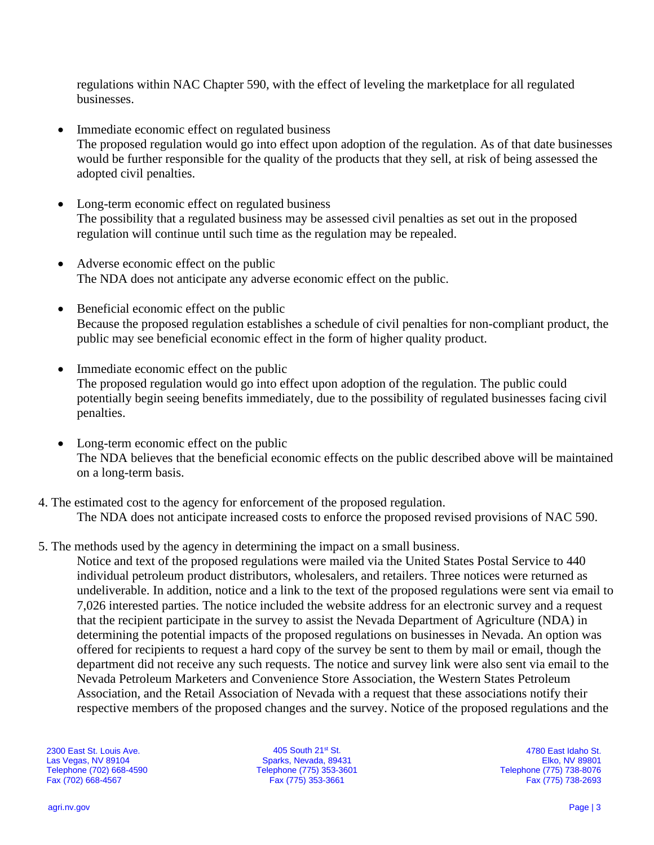regulations within NAC Chapter 590, with the effect of leveling the marketplace for all regulated businesses.

- Immediate economic effect on regulated business The proposed regulation would go into effect upon adoption of the regulation. As of that date businesses would be further responsible for the quality of the products that they sell, at risk of being assessed the adopted civil penalties.
- Long-term economic effect on regulated business The possibility that a regulated business may be assessed civil penalties as set out in the proposed regulation will continue until such time as the regulation may be repealed.
- Adverse economic effect on the public The NDA does not anticipate any adverse economic effect on the public.
- Beneficial economic effect on the public Because the proposed regulation establishes a schedule of civil penalties for non-compliant product, the public may see beneficial economic effect in the form of higher quality product.
- Immediate economic effect on the public The proposed regulation would go into effect upon adoption of the regulation. The public could potentially begin seeing benefits immediately, due to the possibility of regulated businesses facing civil penalties.
- Long-term economic effect on the public The NDA believes that the beneficial economic effects on the public described above will be maintained on a long-term basis.
- 4. The estimated cost to the agency for enforcement of the proposed regulation. The NDA does not anticipate increased costs to enforce the proposed revised provisions of NAC 590.
- 5. The methods used by the agency in determining the impact on a small business.

Notice and text of the proposed regulations were mailed via the United States Postal Service to 440 individual petroleum product distributors, wholesalers, and retailers. Three notices were returned as undeliverable. In addition, notice and a link to the text of the proposed regulations were sent via email to 7,026 interested parties. The notice included the website address for an electronic survey and a request that the recipient participate in the survey to assist the Nevada Department of Agriculture (NDA) in determining the potential impacts of the proposed regulations on businesses in Nevada. An option was offered for recipients to request a hard copy of the survey be sent to them by mail or email, though the department did not receive any such requests. The notice and survey link were also sent via email to the Nevada Petroleum Marketers and Convenience Store Association, the Western States Petroleum Association, and the Retail Association of Nevada with a request that these associations notify their respective members of the proposed changes and the survey. Notice of the proposed regulations and the

2300 East St. Louis Ave. Las Vegas, NV 89104 Telephone (702) 668-4590 Fax (702) 668-4567

405 South 21st St. Sparks, Nevada, 89431 Telephone (775) 353-3601 Fax (775) 353-3661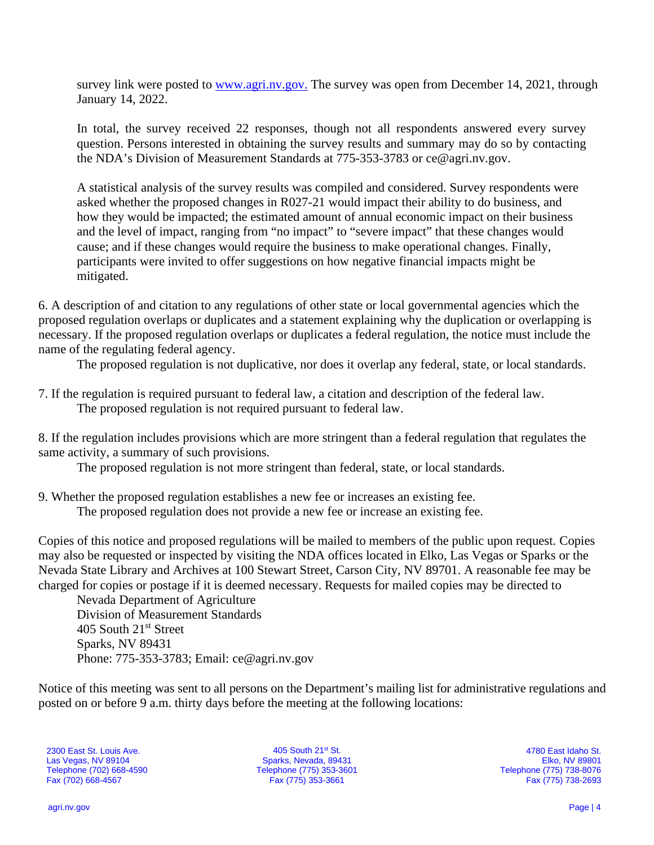survey link were posted to [www.agri.nv.gov.](http://www.agri.nv.gov/) The survey was open from December 14, 2021, through January 14, 2022.

In total, the survey received 22 responses, though not all respondents answered every survey question. Persons interested in obtaining the survey results and summary may do so by contacting the NDA's Division of Measurement Standards at 775-353-3783 or [ce@agri.nv.gov.](mailto:ce@agri.nv.gov)

A statistical analysis of the survey results was compiled and considered. Survey respondents were asked whether the proposed changes in R027-21 would impact their ability to do business, and how they would be impacted; the estimated amount of annual economic impact on their business and the level of impact, ranging from "no impact" to "severe impact" that these changes would cause; and if these changes would require the business to make operational changes. Finally, participants were invited to offer suggestions on how negative financial impacts might be mitigated.

6. A description of and citation to any regulations of other state or local governmental agencies which the proposed regulation overlaps or duplicates and a statement explaining why the duplication or overlapping is necessary. If the proposed regulation overlaps or duplicates a federal regulation, the notice must include the name of the regulating federal agency.

The proposed regulation is not duplicative, nor does it overlap any federal, state, or local standards.

7. If the regulation is required pursuant to federal law, a citation and description of the federal law. The proposed regulation is not required pursuant to federal law.

8. If the regulation includes provisions which are more stringent than a federal regulation that regulates the same activity, a summary of such provisions.

The proposed regulation is not more stringent than federal, state, or local standards.

9. Whether the proposed regulation establishes a new fee or increases an existing fee. The proposed regulation does not provide a new fee or increase an existing fee.

Copies of this notice and proposed regulations will be mailed to members of the public upon request. Copies may also be requested or inspected by visiting the NDA offices located in Elko, Las Vegas or Sparks or the Nevada State Library and Archives at 100 Stewart Street, Carson City, NV 89701. A reasonable fee may be charged for copies or postage if it is deemed necessary. Requests for mailed copies may be directed to

Nevada Department of Agriculture Division of Measurement Standards 405 South 21<sup>st</sup> Street Sparks, NV 89431 Phone: 775-353-3783; Email: ce@agri.nv.gov

Notice of this meeting was sent to all persons on the Department's mailing list for administrative regulations and posted on or before 9 a.m. thirty days before the meeting at the following locations:

2300 East St. Louis Ave. Las Vegas, NV 89104 Telephone (702) 668-4590 Fax (702) 668-4567

405 South 21st St. Sparks, Nevada, 89431 Telephone (775) 353-3601 Fax (775) 353-3661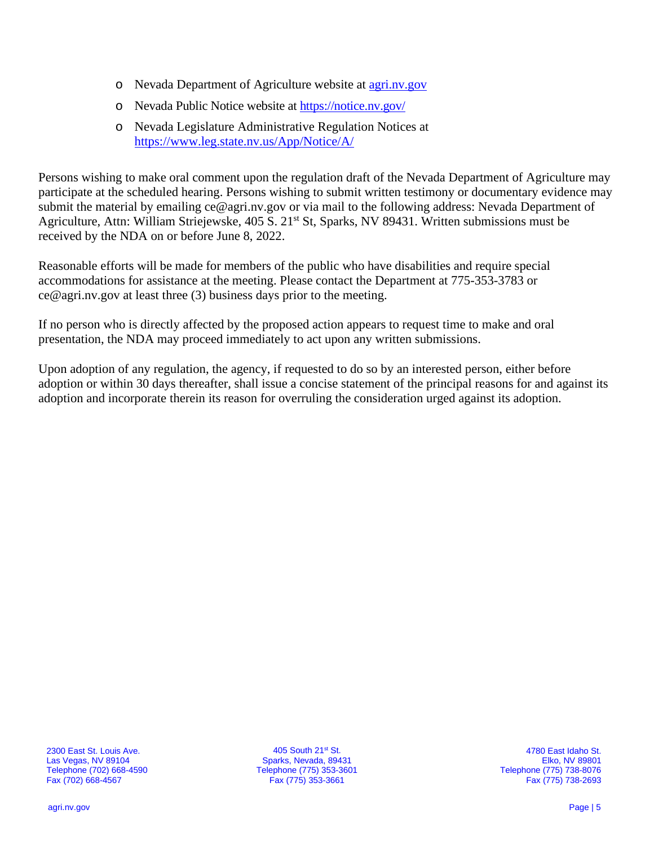- o Nevada Department of Agriculture website at [agri.nv.gov](http://agri.nv.gov/Animals/Animal_Industries_Hearings,_Workshops,_Meetings/)
- o Nevada Public Notice website at<https://notice.nv.gov/>
- o Nevada Legislature Administrative Regulation Notices at <https://www.leg.state.nv.us/App/Notice/A/>

Persons wishing to make oral comment upon the regulation draft of the Nevada Department of Agriculture may participate at the scheduled hearing. Persons wishing to submit written testimony or documentary evidence may submit the material by emailing ce@agri.nv.gov or via mail to the following address: Nevada Department of Agriculture, Attn: William Striejewske, 405 S. 21<sup>st</sup> St, Sparks, NV 89431. Written submissions must be received by the NDA on or before June 8, 2022.

Reasonable efforts will be made for members of the public who have disabilities and require special accommodations for assistance at the meeting. Please contact the Department at 775-353-3783 or ce@agri.nv.gov at least three (3) business days prior to the meeting.

If no person who is directly affected by the proposed action appears to request time to make and oral presentation, the NDA may proceed immediately to act upon any written submissions.

Upon adoption of any regulation, the agency, if requested to do so by an interested person, either before adoption or within 30 days thereafter, shall issue a concise statement of the principal reasons for and against its adoption and incorporate therein its reason for overruling the consideration urged against its adoption.

2300 East St. Louis Ave. Las Vegas, NV 89104 Telephone (702) 668-4590 Fax (702) 668-4567

405 South 21st St. Sparks, Nevada, 89431 Telephone (775) 353-3601 Fax (775) 353-3661